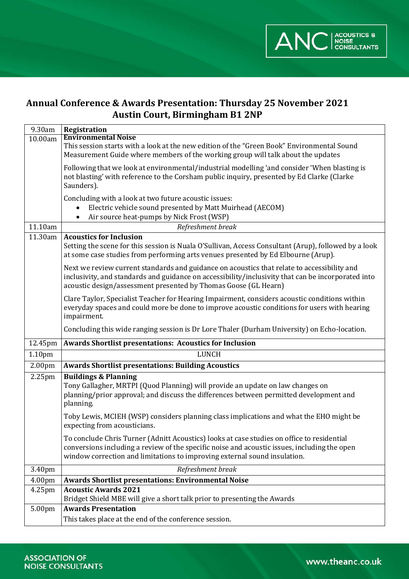

# **Annual Conference & Awards Presentation: Thursday 25 November 2021 Austin Court, Birmingham B1 2NP**

| 9.30am             | Registration                                                                                                                                                                                                                                                            |
|--------------------|-------------------------------------------------------------------------------------------------------------------------------------------------------------------------------------------------------------------------------------------------------------------------|
| 10.00am            | <b>Environmental Noise</b>                                                                                                                                                                                                                                              |
|                    | This session starts with a look at the new edition of the "Green Book" Environmental Sound<br>Measurement Guide where members of the working group will talk about the updates                                                                                          |
|                    | Following that we look at environmental/industrial modelling 'and consider 'When blasting is<br>not blasting' with reference to the Corsham public inquiry, presented by Ed Clarke (Clarke<br>Saunders).                                                                |
|                    | Concluding with a look at two future acoustic issues:<br>Electric vehicle sound presented by Matt Muirhead (AECOM)<br>Air source heat-pumps by Nick Frost (WSP)                                                                                                         |
| 11.10am            | Refreshment break                                                                                                                                                                                                                                                       |
| 11.30am            | <b>Acoustics for Inclusion</b><br>Setting the scene for this session is Nuala O'Sullivan, Access Consultant (Arup), followed by a look<br>at some case studies from performing arts venues presented by Ed Elbourne (Arup).                                             |
|                    | Next we review current standards and guidance on acoustics that relate to accessibility and<br>inclusivity, and standards and guidance on accessibility/inclusivity that can be incorporated into<br>acoustic design/assessment presented by Thomas Goose (GL Hearn)    |
|                    | Clare Taylor, Specialist Teacher for Hearing Impairment, considers acoustic conditions within<br>everyday spaces and could more be done to improve acoustic conditions for users with hearing<br>impairment.                                                            |
|                    | Concluding this wide ranging session is Dr Lore Thaler (Durham University) on Echo-location.                                                                                                                                                                            |
| 12.45pm            | <b>Awards Shortlist presentations: Acoustics for Inclusion</b>                                                                                                                                                                                                          |
| 1.10pm             | <b>LUNCH</b>                                                                                                                                                                                                                                                            |
| 2.00 <sub>pm</sub> | <b>Awards Shortlist presentations: Building Acoustics</b>                                                                                                                                                                                                               |
| 2.25pm             | <b>Buildings &amp; Planning</b><br>Tony Gallagher, MRTPI (Quod Planning) will provide an update on law changes on<br>planning/prior approval; and discuss the differences between permitted development and<br>planning.                                                |
|                    |                                                                                                                                                                                                                                                                         |
|                    | Toby Lewis, MCIEH (WSP) considers planning class implications and what the EHO might be<br>expecting from acousticians.                                                                                                                                                 |
|                    | To conclude Chris Turner (Adnitt Acoustics) looks at case studies on office to residential<br>conversions including a review of the specific noise and acoustic issues, including the open<br>window correction and limitations to improving external sound insulation. |
| 3.40pm             | Refreshment break                                                                                                                                                                                                                                                       |
| 4.00pm             | <b>Awards Shortlist presentations: Environmental Noise</b>                                                                                                                                                                                                              |
| 4.25pm             | <b>Acoustic Awards 2021</b><br>Bridget Shield MBE will give a short talk prior to presenting the Awards                                                                                                                                                                 |
| 5.00pm             | <b>Awards Presentation</b><br>This takes place at the end of the conference session.                                                                                                                                                                                    |